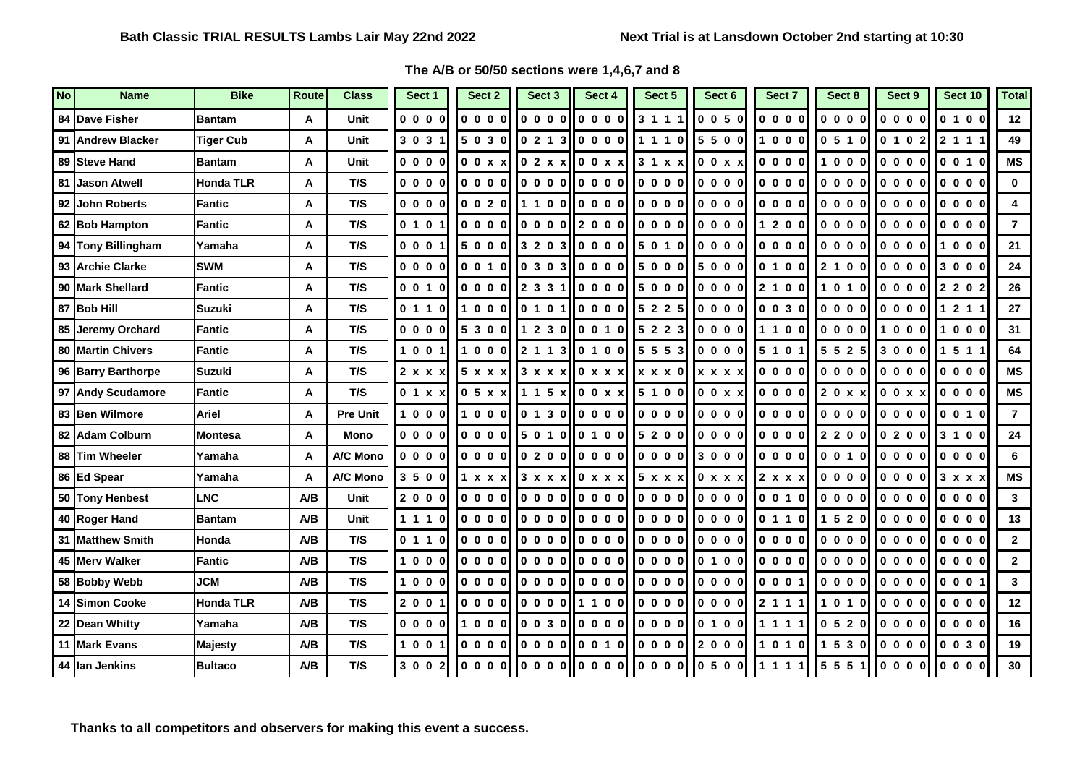## **The A/B or 50/50 sections were 1,4,6,7 and 8**

| <b>No</b> | <b>Name</b>           | <b>Bike</b>      | <b>Route</b> | <b>Class</b>    | Sect 1                                         | Sect 2                                                 | Sect <sub>3</sub> | Sect 4                                                                                                                                   | Sect 5                   | Sect 6                                                 | Sect 7  | Sect 8                                                 | Sect 9  | Sect 10        | <b>Total</b>   |
|-----------|-----------------------|------------------|--------------|-----------------|------------------------------------------------|--------------------------------------------------------|-------------------|------------------------------------------------------------------------------------------------------------------------------------------|--------------------------|--------------------------------------------------------|---------|--------------------------------------------------------|---------|----------------|----------------|
|           | 84 Dave Fisher        | <b>Bantam</b>    | Α            | Unit            | 0000                                           | 0000                                                   | 0000              | 000<br>0                                                                                                                                 | 3 1 1 1                  | 0050                                                   | 0 0 0 0 | 0000                                                   | 0000    | 0 1 0 0        | 12             |
|           | 91 Andrew Blacker     | <b>Tiger Cub</b> | A            | Unit            | 303'                                           | 5030                                                   | 021<br>-3         | 0000                                                                                                                                     | 1110                     | 5500                                                   | 1000    | 0510                                                   | 0 1 0 2 | 211'           | 49             |
|           | 89 Steve Hand         | <b>Bantam</b>    | A            | Unit            | $0000$                                         | 00xx                                                   | 02x x             | 0 0 x x                                                                                                                                  | 31x x                    | 0 0 x x                                                | 0000    | 1000                                                   | 0000    | 0010           | <b>MS</b>      |
| 81        | <b>Jason Atwell</b>   | <b>Honda TLR</b> | A            | T/S             | 0000                                           | 0000                                                   | 0000 I            |                                                                                                                                          | 0000                     | 0000                                                   | 0000    | 0000                                                   | 0000    | 0000           | $\mathbf{0}$   |
| 92        | <b>John Roberts</b>   | <b>Fantic</b>    | Α            | T/S             | 0000                                           | 0 0 2 0                                                |                   | 1 1 0 0 0 0 0 0                                                                                                                          | 0000                     | 0000                                                   | 0000    | 0000                                                   | 0000    | 0000           | 4              |
|           | 62 Bob Hampton        | Fantic           | Α            | T/S             | 0 1 0 1                                        | 0000                                                   |                   | 0.00012000                                                                                                                               | 0000                     | 0000                                                   | 1 2 0 0 | 0000                                                   | 0000    | 0 0 0 0        | $\overline{7}$ |
|           | 94 Tony Billingham    | Yamaha           | A            | T/S             | 0001                                           | 5000                                                   |                   | 3203  0000                                                                                                                               | 5 0 1 0                  | 10000                                                  | 0000    | 0000                                                   | 0000    | 1000           | 21             |
|           | 93 Archie Clarke      | <b>SWM</b>       | A            | T/S             | 0000                                           | 0 0 1 0                                                |                   | lo 3 o 311 o o o ol                                                                                                                      | 5000                     | 5000                                                   | 0 1 0 0 | 2 1 0 0                                                | 0000    | 3000           | 24             |
|           | 90 Mark Shellard      | <b>Fantic</b>    | A            | T/S             | 0 0 1 0                                        | $\begin{array}{ccccccccc}\n0 & 0 & 0 & 0\n\end{array}$ | 2 3 3 1           | 0000                                                                                                                                     | 5000                     | 0000                                                   | 2 1 0 0 | 1 0 1 0                                                | 0000    | 2 2 0 2        | 26             |
|           | 87 Bob Hill           | <b>Suzuki</b>    | A            | T/S             | 0110                                           | 1000                                                   | 0 1 0 1           | 000<br>$\mathbf 0$                                                                                                                       | 5 2 2 5                  | 0000                                                   | 0030    | 0000                                                   | 0000    | 1 2 1 1        | 27             |
|           | 85 Jeremy Orchard     | Fantic           | A            | T/S             | 0000                                           | 5 3 0 0                                                |                   | $1230$   0 0 1 0                                                                                                                         | 5 2 2 3                  | 0000                                                   | 1100    | 0000                                                   | 1000    | 0 <sub>0</sub> | 31             |
|           | 80 Martin Chivers     | <b>Fantic</b>    | Α            | T/S             | 1001                                           | 1000                                                   |                   | $2113$ 0 1 0 0                                                                                                                           | 5 5 5 3                  | 0000                                                   | 5 1 0 1 | 5 5 2 5                                                | 3 0 0 0 | 1 5 1 1        | 64             |
|           | 96 Barry Barthorpe    | <b>Suzuki</b>    | A            | T/S             | 2 x x x                                        | 5 x x x                                                |                   | 3 x x x 10 x x x 1                                                                                                                       | $\bm{x} \times \bm{x}$ 0 | <b>XXXX</b>                                            | 0000    | 0000                                                   | 0000    | 0000           | <b>MS</b>      |
|           | 97 Andy Scudamore     | Fantic           | A            | T/S             | 0.1 x x                                        | $0.5 \times x$                                         |                   | $115 \times 00 \times x$                                                                                                                 | 5100                     | 0 0 x x                                                | 0000    | 20xx                                                   | 00xx    | 0000           | <b>MS</b>      |
|           | 83 Ben Wilmore        | <b>Ariel</b>     | Α            | <b>Pre Unit</b> | 1000                                           | 1000                                                   |                   | 0 1 3 0 0 0 0 0                                                                                                                          | 0000                     | 0000                                                   | 0 0 0 0 | 0000                                                   | 0000    | 0 0 1 0        | $\overline{7}$ |
|           | 82 Adam Colburn       | <b>Montesa</b>   | Α            | Mono            | $\begin{array}{ccc} 0 & 0 & 0 & 0 \end{array}$ | 0000                                                   | 5 0 1 0           | 0 1 0 0                                                                                                                                  | 5 2 0 0                  | 0000                                                   | 0000    | 2 2 0 0                                                | 0200    | 3 1 0 0        | 24             |
|           | 88 Tim Wheeler        | Yamaha           | A            | A/C Mono        | 0000                                           | 0000                                                   | 0200              | 0000                                                                                                                                     | 0000                     | 3000                                                   | 0000    | 0010                                                   | 0000    | 0000           | 6              |
|           | 86 Ed Spear           | Yamaha           | A            | A/C Mono        | 3500                                           | 1 x x x                                                |                   | 3 x x x <b>10</b> x x x                                                                                                                  | 5 x x x                  | 0 x x x                                                | 2 x x x | 0000                                                   | 0000    | 3 x x x        | <b>MS</b>      |
|           | 50 Tony Henbest       | <b>LNC</b>       | A/B          | Unit            | 2000                                           | 0000                                                   |                   | $\overline{\phantom{a}}$ to $\overline{\phantom{a}}$ to $\overline{\phantom{a}}$ to $\overline{\phantom{a}}$ to $\overline{\phantom{a}}$ | 0000                     | $\begin{array}{ccccccccc}\n0 & 0 & 0 & 0\n\end{array}$ | 0010    | $\begin{array}{ccccccccc}\n0 & 0 & 0 & 0\n\end{array}$ | 0000    | 0000           | $\mathbf{3}$   |
|           | 40 Roger Hand         | <b>Bantam</b>    | A/B          | Unit            | 1 1 1 0                                        | 0000                                                   | 0 0 0 0           | 0000                                                                                                                                     | 0000                     | 0000                                                   | 0 1 1 0 | 1520                                                   | 0000    | 0000           | 13             |
| 31        | <b>Matthew Smith</b>  | Honda            | A/B          | T/S             | 0 1 1 0                                        | 0000                                                   |                   | lo o o ollo o o ol                                                                                                                       | 0000                     | 0000                                                   | 0000    | 0000                                                   | 0000    | 0000           | $\mathbf{2}$   |
|           | 45 Merv Walker        | Fantic           | A/B          | T/S             | 1000                                           | 0000                                                   |                   |                                                                                                                                          | 0000                     | 0 1 0 0                                                | 0000    | 0000                                                   | 0000    | 0000           | $\overline{2}$ |
|           | 58 Bobby Webb         | <b>JCM</b>       | A/B          | T/S             | 1000                                           | 0000                                                   | 0 0 0 0           | 0000                                                                                                                                     | 0000                     | 0000                                                   | 000     | 0000                                                   | 0000    | 0001           | $\mathbf{3}$   |
|           | <b>14 Simon Cooke</b> | <b>Honda TLR</b> | A/B          | T/S             | 2 0 0 1                                        | 0000                                                   |                   |                                                                                                                                          | 0000                     | 0000                                                   | 2 1 1 1 | 1010                                                   | 0000    | 0000           | $12 \,$        |
|           | 22 Dean Whitty        | Yamaha           | A/B          | T/S             | 0000                                           | 1000                                                   | 0 0 3 0           | 0000                                                                                                                                     | 0 0 0 0                  | 0 1 0 0                                                | 1 1 1 1 | 0520                                                   | 0000    | 0000           | 16             |
|           | 11 Mark Evans         | <b>Majesty</b>   | A/B          | T/S             | 1 0 0 1                                        | 0000                                                   | 0 0 0 0           | 0010                                                                                                                                     | 0000                     | 2000                                                   | 1 0 1 0 | 1530                                                   | 0000    | 0 0 3 0        | 19             |
|           | 44 Ilan Jenkins       | <b>Bultaco</b>   | A/B          | T/S             | 3 0 0 2                                        | 0000                                                   |                   | $\bf{0}$                                                                                                                                 | 0000                     | 0500                                                   | 111     | 5 5 5 1                                                | 0000    | 0000           | 30             |

**Thanks to all competitors and observers for making this event a success.**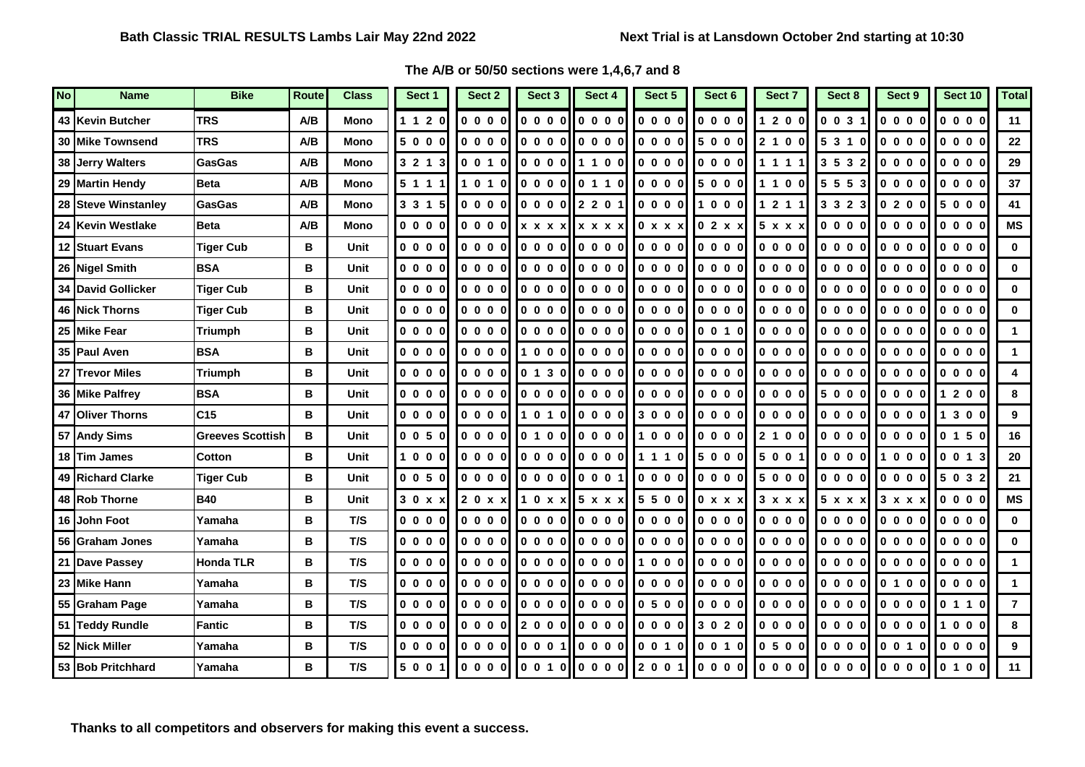## **The A/B or 50/50 sections were 1,4,6,7 and 8**

| N <sub>O</sub> | <b>Name</b>             | <b>Bike</b>             | <b>Route</b> | <b>Class</b> | Sect 1                                                 | Sect 2  | Sect 3  | Sect 4                                                                                                                                                | Sect 5                                                 | Sect 6                                                 | Sect 7                                                 | Sect 8                                                 | Sect 9                                                 | Sect 10 | <b>Total</b> |
|----------------|-------------------------|-------------------------|--------------|--------------|--------------------------------------------------------|---------|---------|-------------------------------------------------------------------------------------------------------------------------------------------------------|--------------------------------------------------------|--------------------------------------------------------|--------------------------------------------------------|--------------------------------------------------------|--------------------------------------------------------|---------|--------------|
|                | 43 Kevin Butcher        | <b>TRS</b>              | A/B          | <b>Mono</b>  | 1 1 2 0                                                | 0000    | 0000    | 0000                                                                                                                                                  | 0000                                                   | 0000                                                   | 1 2 0 0                                                | 0 0 3 1                                                | 0000                                                   | 0000    | 11           |
|                | <b>30 Mike Townsend</b> | <b>TRS</b>              | A/B          | <b>Mono</b>  | 5000                                                   | 0000    | 0000    | 0000                                                                                                                                                  | $\begin{array}{ccccccccc}\n0 & 0 & 0 & 0\n\end{array}$ | 5000                                                   | 2 1 0 0                                                | 5 3 1 0                                                | 0000                                                   | 0000    | 22           |
|                | 38 Jerry Walters        | GasGas                  | A/B          | <b>Mono</b>  | 3 2 1 3                                                | 0 0 1 0 |         | 0.00011100                                                                                                                                            | 0000                                                   | 0000                                                   | 1111                                                   | 3 5 3 2                                                | 0000                                                   | 0000    | 29           |
|                | 29 Martin Hendy         | <b>Beta</b>             | A/B          | <b>Mono</b>  | 5 1 1 1                                                | 1010    |         | 000000110                                                                                                                                             | 0000                                                   | 5000                                                   | 1100                                                   | 5 5 5 3                                                | 0000                                                   | 0000    | 37           |
|                | 28 Steve Winstanley     | GasGas                  | A/B          | <b>Mono</b>  | 3 3 1 5                                                | 0000    |         | 000012201                                                                                                                                             | $\begin{bmatrix} 0 & 0 & 0 & 0 \end{bmatrix}$          | 1000                                                   | $121$                                                  | 3 3 2 3                                                | 0200                                                   | 5000    | 41           |
|                | 24 Kevin Westlake       | <b>Beta</b>             | A/B          | <b>Mono</b>  | 0000                                                   | 0000    |         | $x x x x$ x x x x                                                                                                                                     | 0 x x x                                                | 02x                                                    | 5 x x x                                                | $\begin{array}{ccccccccc}\n0 & 0 & 0 & 0\n\end{array}$ | 0000                                                   | 0000    | <b>MS</b>    |
|                | 12 Stuart Evans         | <b>Tiger Cub</b>        | в            | <b>Unit</b>  | 0000                                                   | 0000    |         | 0.00010000                                                                                                                                            | 0000                                                   | 0000                                                   | 0000                                                   | 0000                                                   | 0000                                                   | 0000    | $\mathbf{0}$ |
|                | 26 Nigel Smith          | <b>BSA</b>              | B            | Unit         | 0000                                                   | 0000    |         | loooollooool                                                                                                                                          | $\begin{bmatrix} 0 & 0 & 0 & 0 \end{bmatrix}$          | 0000                                                   | 0000                                                   | 0000                                                   | 0000                                                   | 0000    | $\bf{0}$     |
|                | 34 David Gollicker      | <b>Tiger Cub</b>        | в            | Unit         | 0000                                                   | 0 0 0 0 |         | 0.00010000                                                                                                                                            | 0000                                                   | $\begin{array}{ccccccccc}\n0 & 0 & 0 & 0\n\end{array}$ | $\begin{array}{ccccccccc}\n0 & 0 & 0 & 0\n\end{array}$ | $\begin{array}{ccccccccc}\n0 & 0 & 0 & 0\n\end{array}$ | 0000                                                   | 0000    | $\mathbf{0}$ |
|                | <b>46 Nick Thorns</b>   | Tiger Cub               | в            | Unit         | 0000                                                   | 0000    |         | $\overline{\phantom{a}}$ to $\overline{\phantom{a}}$ to $\overline{\phantom{a}}$ to $\overline{\phantom{a}}$ to the total to $\overline{\phantom{a}}$ | 0000                                                   | 0000                                                   | 0000                                                   | 0000                                                   | 0000                                                   | 0000    | $\mathbf{0}$ |
|                | 25 Mike Fear            | <b>Triumph</b>          | в            | Unit         | 0000                                                   | 0000    |         | $0000$ $0000$                                                                                                                                         | 0000                                                   | 0010                                                   | 0000                                                   | 0000                                                   | 0000                                                   | 0000    |              |
|                | 35 Paul Aven            | <b>BSA</b>              | в            | Unit         | 0000                                                   | 0000    |         | $\begin{array}{ccccccccccccccccc}\n1 & 0 & 0 & 0 & 0 & 0 & 0 & 0\n\end{array}$                                                                        | $\begin{bmatrix} 0 & 0 & 0 & 0 \end{bmatrix}$          | 0000                                                   | 0000                                                   | 0000                                                   | 0000                                                   | 0000    |              |
|                | 27 Trevor Miles         | <b>Triumph</b>          | в            | Unit         | 0000                                                   | 0000    |         | 0 1 3 0    0 0 0 0                                                                                                                                    | 0000l                                                  | 0000                                                   | 0000                                                   | 0000                                                   | 0000                                                   | 0000    |              |
|                | 36 Mike Palfrey         | <b>BSA</b>              | в            | Unit         | 0000                                                   | 0000    |         | lo o o ollo o o ol                                                                                                                                    | 10000                                                  | 0000                                                   | 0000                                                   | 5000                                                   | 0000                                                   | 1 2 0 0 | 8            |
|                | 47 Oliver Thorns        | C <sub>15</sub>         | в            | Unit         | 0000                                                   | 0000    |         | 10100000                                                                                                                                              | 3000                                                   | 0000                                                   | 0000                                                   | 0000                                                   | 0000                                                   | 1 3 0 0 | 9            |
|                | 57 Andy Sims            | <b>Greeves Scottish</b> | B            | Unit         | $\begin{array}{ccc} 0 & 0 & 5 & 0 \end{array}$         | 0000    |         | $ 0\;1\;0\;0   0\;0\;0\;0 $                                                                                                                           | $\begin{bmatrix} 1 & 0 & 0 & 0 \end{bmatrix}$          | 0000                                                   | 2 1 0 0                                                | 0000                                                   | 0000                                                   | 0 1 5 0 | 16           |
|                | 18 Tim James            | <b>Cotton</b>           | B            | Unit         | 1000                                                   | 0000    |         | 100001100001                                                                                                                                          | 1110                                                   | 5000                                                   | 5 0 0                                                  | 0000                                                   | 1000                                                   | 0013    | 20           |
|                | 49 Richard Clarke       | <b>Tiger Cub</b>        | в            | Unit         | 0050                                                   | 0000    |         | 0000   0001                                                                                                                                           | 0 0 0 0                                                | 0000                                                   | 5000                                                   | 0000                                                   | 0000                                                   | 5 0 3 2 | 21           |
|                | 48 Rob Thorne           | <b>B40</b>              | в            | Unit         | 30xx                                                   | 20xx    |         | $10x \times 5x \times x$                                                                                                                              | 5500                                                   | 0 x x x                                                | 3 x x x                                                | 5 x x x                                                | $3x \times x$                                          | 0000    | <b>MS</b>    |
|                | 16 John Foot            | Yamaha                  | в            | T/S          | 0000                                                   | 0000    |         |                                                                                                                                                       | 0000                                                   | 0000                                                   | 0000                                                   | 0000                                                   | 0000                                                   | 0000    | $\mathbf{0}$ |
|                | 56 Graham Jones         | Yamaha                  | в            | T/S          | 0000                                                   | 0000    |         | loooollooool                                                                                                                                          | 10000                                                  | 0000                                                   | 0000                                                   | 10000                                                  | 0000                                                   | 0000    | $\Omega$     |
|                | 21 Dave Passey          | <b>Honda TLR</b>        | в            | T/S          | 0000                                                   | 0000    |         | $0000$ $000$                                                                                                                                          | 1000                                                   | 0000                                                   | 0000                                                   | 0000                                                   | 0000                                                   | 0000    | $\mathbf{1}$ |
|                | 23 Mike Hann            | Yamaha                  | в            | T/S          | 0000                                                   | 0000    |         | 000000000                                                                                                                                             | 0000                                                   | 0000                                                   | 0000                                                   | 0000                                                   | 0 1 0 0                                                | 0000    | $\mathbf 1$  |
|                | 55 Graham Page          | Yamaha                  | в            | T/S          | 0000                                                   | 0000    |         | 100001100001                                                                                                                                          | 0500 I                                                 | 0000                                                   | 0000                                                   | 0000                                                   | 0000                                                   | 0110    | 7            |
|                | 51 Teddy Rundle         | Fantic                  | в            | T/S          | $\begin{array}{ccccccccc}\n0 & 0 & 0 & 0\n\end{array}$ | 0000    |         | I2000II0000I                                                                                                                                          | 0000                                                   | 3 0 2 0                                                | 0000                                                   | $\begin{array}{ccccccccc}\n0 & 0 & 0 & 0\n\end{array}$ | $\begin{array}{ccccccccc}\n0 & 0 & 0 & 0\n\end{array}$ | 1000    | 8            |
|                | 52 Nick Miller          | Yamaha                  | В            | T/S          | 0000                                                   | 0000    | 0001    | 0000                                                                                                                                                  | 0 0 1 0                                                | 0 0 1 0                                                | 0500                                                   | 0000                                                   | 0 0 1 0                                                | 0000    | 9            |
|                | 53 Bob Pritchhard       | Yamaha                  | B            | T/S          | 500 <sup>o</sup>                                       | 0000    | 0 0 1 0 | $\bullet$ $\bullet$ $\bullet$                                                                                                                         | 2 0 0 1                                                | 0000                                                   | 0000                                                   | 0000                                                   | 0000                                                   | 0 1 0 0 | 11           |

**Thanks to all competitors and observers for making this event a success.**